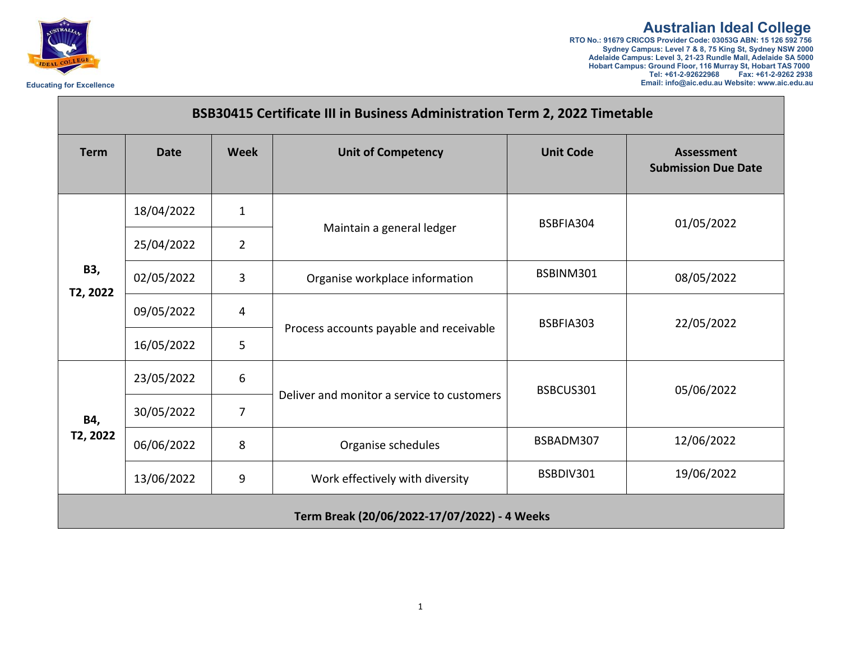

**Australian Ideal College**<br>RTO No.: 91679 CRICOS Provider Code: 03053G ABN: 15 126 592 756<br>Sydney Campus: Level 7 & 8, 75 King St, Sydney NSW 2000<br>Adelaide Campus: Level 3, 21-23 Rundle Mall, Adelaide SA 5000 **Hobart Campus: Ground Floor, 116 Murray St, Hobart TAS 7000 Tel: +61-2-92622968 Fax: +61-2-9262 2938 Educating for Excellence Email: info@aic.edu.au Website: www.aic.edu.au**

| <b>Term</b>     | <b>Date</b> | <b>Week</b>    | <b>Unit of Competency</b>                  | <b>Unit Code</b> | <b>Assessment</b><br><b>Submission Due Date</b> |
|-----------------|-------------|----------------|--------------------------------------------|------------------|-------------------------------------------------|
| B3,<br>T2, 2022 | 18/04/2022  | $\mathbf{1}$   | Maintain a general ledger                  | BSBFIA304        | 01/05/2022                                      |
|                 | 25/04/2022  | $\overline{2}$ |                                            |                  |                                                 |
|                 | 02/05/2022  | 3              | Organise workplace information             | BSBINM301        | 08/05/2022                                      |
|                 | 09/05/2022  | 4              | Process accounts payable and receivable    | BSBFIA303        | 22/05/2022                                      |
|                 | 16/05/2022  | 5              |                                            |                  |                                                 |
| B4,<br>T2, 2022 | 23/05/2022  | 6              | Deliver and monitor a service to customers | BSBCUS301        | 05/06/2022                                      |
|                 | 30/05/2022  | $\overline{7}$ |                                            |                  |                                                 |
|                 | 06/06/2022  | 8              | Organise schedules                         | BSBADM307        | 12/06/2022                                      |
|                 | 13/06/2022  | 9              | Work effectively with diversity            | BSBDIV301        | 19/06/2022                                      |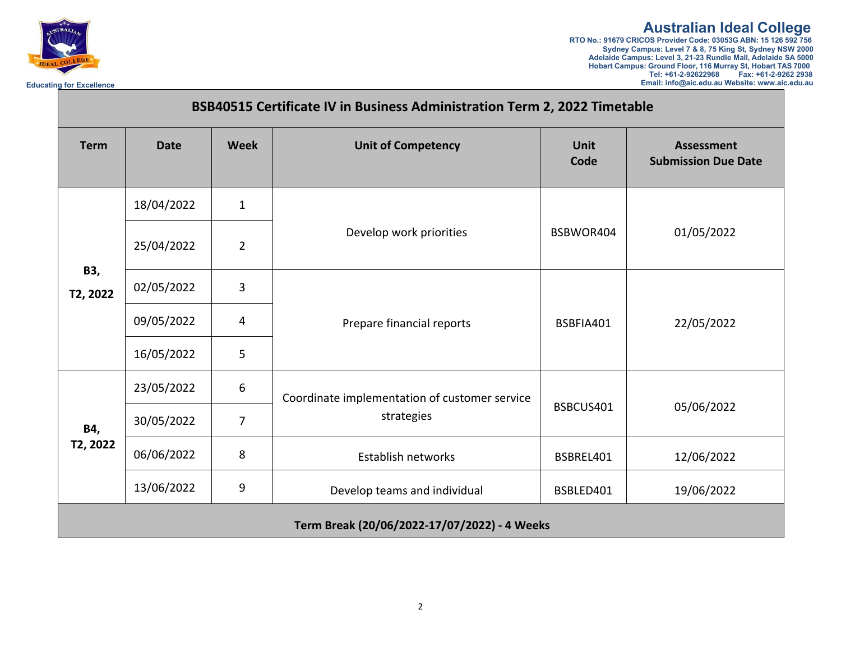

**Australian Ideal College**<br>RTO No.: 91679 CRICOS Provider Code: 03053G ABN: 15 126 592 756<br>Sydney Campus: Level 7 & 8, 75 King St, Sydney NSW 2000<br>Adelaide Campus: Level 3, 21-23 Rundle Mall, Adelaide SA 5000 **Hobart Campus: Ground Floor, 116 Murray St, Hobart TAS 7000 Tel: +61-2-92622968 Fax: +61-2-9262 2938 Educating for Excellence Email: info@aic.edu.au Website: www.aic.edu.au**

| BSB40515 Certificate IV in Business Administration Term 2, 2022 Timetable |             |                |                                                             |                     |                                                 |
|---------------------------------------------------------------------------|-------------|----------------|-------------------------------------------------------------|---------------------|-------------------------------------------------|
| <b>Term</b>                                                               | <b>Date</b> | <b>Week</b>    | <b>Unit of Competency</b>                                   | <b>Unit</b><br>Code | <b>Assessment</b><br><b>Submission Due Date</b> |
| B3,<br>T2, 2022                                                           | 18/04/2022  | $\mathbf{1}$   | Develop work priorities                                     | BSBWOR404           | 01/05/2022                                      |
|                                                                           | 25/04/2022  | $\overline{2}$ |                                                             |                     |                                                 |
|                                                                           | 02/05/2022  | 3              | Prepare financial reports                                   | BSBFIA401           | 22/05/2022                                      |
|                                                                           | 09/05/2022  | 4              |                                                             |                     |                                                 |
|                                                                           | 16/05/2022  | 5              |                                                             |                     |                                                 |
| B4,<br>T2, 2022                                                           | 23/05/2022  | 6              | Coordinate implementation of customer service<br>strategies | BSBCUS401           | 05/06/2022                                      |
|                                                                           | 30/05/2022  | $\overline{7}$ |                                                             |                     |                                                 |
|                                                                           | 06/06/2022  | 8              | Establish networks                                          | BSBREL401           | 12/06/2022                                      |
|                                                                           | 13/06/2022  | 9              | Develop teams and individual                                | BSBLED401           | 19/06/2022                                      |
|                                                                           |             |                | Term Break (20/06/2022-17/07/2022) - 4 Weeks                |                     |                                                 |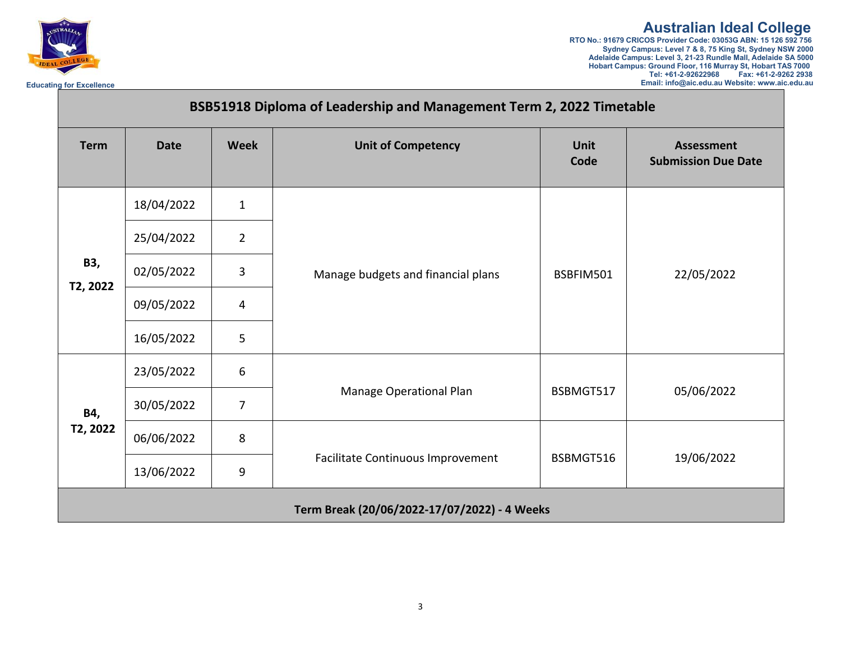

**Australian Ideal College**<br>RTO No.: 91679 CRICOS Provider Code: 03053G ABN: 15 126 592 756<br>Sydney Campus: Level 7 & 8, 75 King St, Sydney NSW 2000<br>Adelaide Campus: Level 3, 21-23 Rundle Mall, Adelaide SA 5000 **Hobart Campus: Ground Floor, 116 Murray St, Hobart TAS 7000 Tel: +61-2-92622968 Fax: +61-2-9262 2938 Educating for Excellence Email: info@aic.edu.au Website: www.aic.edu.au**

| BSB51918 Diploma of Leadership and Management Term 2, 2022 Timetable |             |                  |                                              |                     |                                                 |
|----------------------------------------------------------------------|-------------|------------------|----------------------------------------------|---------------------|-------------------------------------------------|
| <b>Term</b>                                                          | <b>Date</b> | <b>Week</b>      | <b>Unit of Competency</b>                    | <b>Unit</b><br>Code | <b>Assessment</b><br><b>Submission Due Date</b> |
| <b>B3,</b><br>T2, 2022                                               | 18/04/2022  | $\mathbf{1}$     | Manage budgets and financial plans           | BSBFIM501           | 22/05/2022                                      |
|                                                                      | 25/04/2022  | $\overline{2}$   |                                              |                     |                                                 |
|                                                                      | 02/05/2022  | $\overline{3}$   |                                              |                     |                                                 |
|                                                                      | 09/05/2022  | 4                |                                              |                     |                                                 |
|                                                                      | 16/05/2022  | 5                |                                              |                     |                                                 |
| B4,<br>T2, 2022                                                      | 23/05/2022  | 6                | Manage Operational Plan                      | BSBMGT517           | 05/06/2022                                      |
|                                                                      | 30/05/2022  | $\overline{7}$   |                                              |                     |                                                 |
|                                                                      | 06/06/2022  | 8                | Facilitate Continuous Improvement            | BSBMGT516           | 19/06/2022                                      |
|                                                                      | 13/06/2022  | $\boldsymbol{9}$ |                                              |                     |                                                 |
|                                                                      |             |                  | Term Break (20/06/2022-17/07/2022) - 4 Weeks |                     |                                                 |